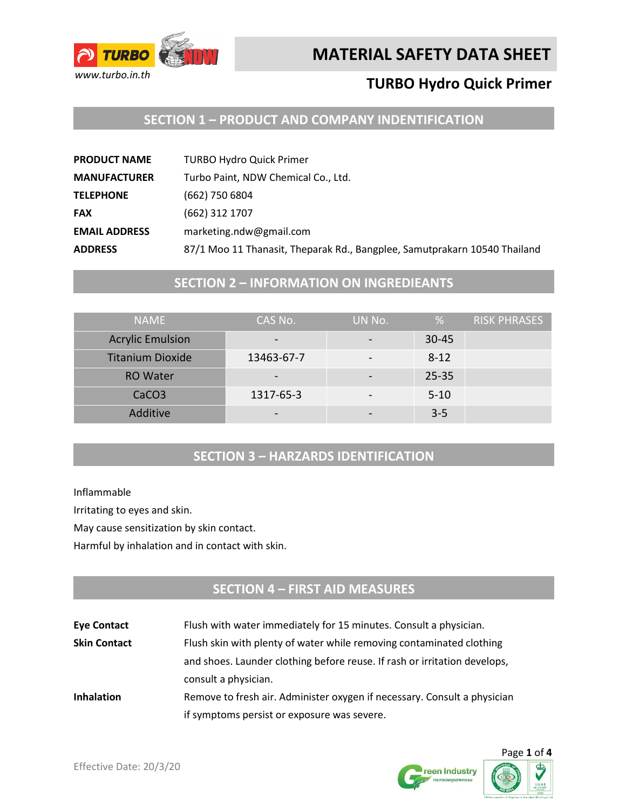

## **TURBO Hydro Quick Primer**

### **SECTION 1 – PRODUCT AND COMPANY INDENTIFICATION**

| <b>PRODUCT NAME</b>  | <b>TURBO Hydro Quick Primer</b>                                           |
|----------------------|---------------------------------------------------------------------------|
| <b>MANUFACTURER</b>  | Turbo Paint, NDW Chemical Co., Ltd.                                       |
| <b>TELEPHONE</b>     | (662) 750 6804                                                            |
| <b>FAX</b>           | (662) 312 1707                                                            |
| <b>EMAIL ADDRESS</b> | marketing.ndw@gmail.com                                                   |
| <b>ADDRESS</b>       | 87/1 Moo 11 Thanasit, Theparak Rd., Bangplee, Samutprakarn 10540 Thailand |

### **SECTION 2 – INFORMATION ON INGREDIEANTS**

| <b>NAME</b>             | CAS No.    | UN No. | %         | <b>RISK PHRASES</b> |
|-------------------------|------------|--------|-----------|---------------------|
| <b>Acrylic Emulsion</b> |            |        | $30 - 45$ |                     |
| <b>Titanium Dioxide</b> | 13463-67-7 |        | $8 - 12$  |                     |
| <b>RO</b> Water         |            |        | $25 - 35$ |                     |
| CaCO <sub>3</sub>       | 1317-65-3  |        | $5 - 10$  |                     |
| Additive                |            |        | $3-5$     |                     |

### **SECTION 3 – HARZARDS IDENTIFICATION**

Inflammable

Irritating to eyes and skin.

May cause sensitization by skin contact.

Harmful by inhalation and in contact with skin.

### **SECTION 4 – FIRST AID MEASURES**

**Eye Contact** Flush with water immediately for 15 minutes. Consult a physician. **Skin Contact** Flush skin with plenty of water while removing contaminated clothing and shoes. Launder clothing before reuse. If rash or irritation develops, consult a physician. **Inhalation** Remove to fresh air. Administer oxygen if necessary. Consult a physician if symptoms persist or exposure was severe.



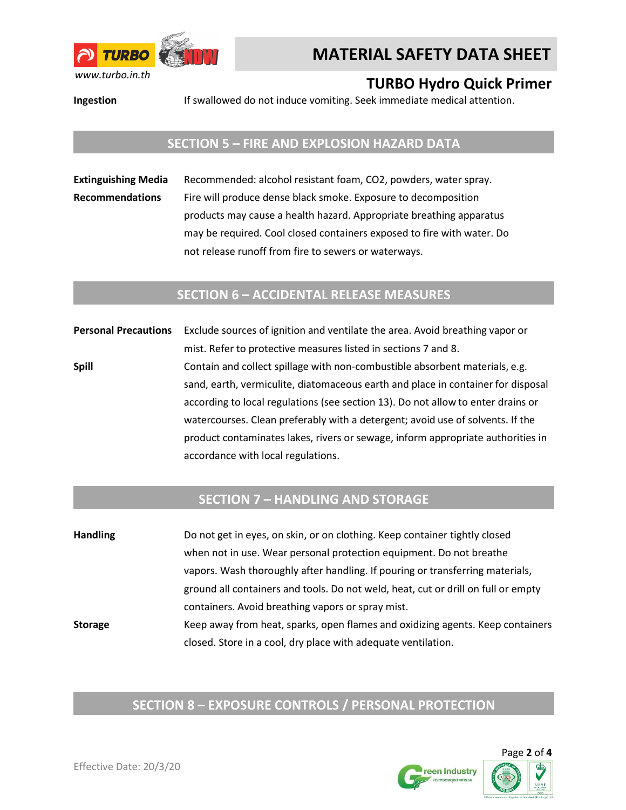

## **TURBO Hydro Quick Primer**

**Ingestion** If swallowed do not induce vomiting. Seek immediate medical attention.

### **SECTION 5 – FIRE AND EXPLOSION HAZARD DATA**

**Extinguishing Media** Recommended: alcohol resistant foam, CO2, powders, water spray. **Recommendations** Fire will produce dense black smoke. Exposure to decomposition products may cause a health hazard. Appropriate breathing apparatus may be required. Cool closed containers exposed to fire with water. Do not release runoff from fire to sewers or waterways.

#### **SECTION 6 – ACCIDENTAL RELEASE MEASURES**

**Personal Precautions** Exclude sources of ignition and ventilate the area. Avoid breathing vapor or mist. Refer to protective measures listed in sections 7 and 8. **Spill** Contain and collect spillage with non-combustible absorbent materials, e.g. sand, earth, vermiculite, diatomaceous earth and place in container for disposal according to local regulations (see section 13). Do not allow to enter drains or watercourses. Clean preferably with a detergent; avoid use of solvents. If the product contaminates lakes, rivers or sewage, inform appropriate authorities in accordance with local regulations.

### **SECTION 7 – HANDLING AND STORAGE**

| <b>Handling</b> | Do not get in eyes, on skin, or on clothing. Keep container tightly closed        |
|-----------------|-----------------------------------------------------------------------------------|
|                 | when not in use. Wear personal protection equipment. Do not breathe               |
|                 | vapors. Wash thoroughly after handling. If pouring or transferring materials,     |
|                 | ground all containers and tools. Do not weld, heat, cut or drill on full or empty |
|                 | containers. Avoid breathing vapors or spray mist.                                 |
| <b>Storage</b>  | Keep away from heat, sparks, open flames and oxidizing agents. Keep containers    |
|                 | closed. Store in a cool, dry place with adequate ventilation.                     |

### **SECTION 8 – EXPOSURE CONTROLS / PERSONAL PROTECTION**

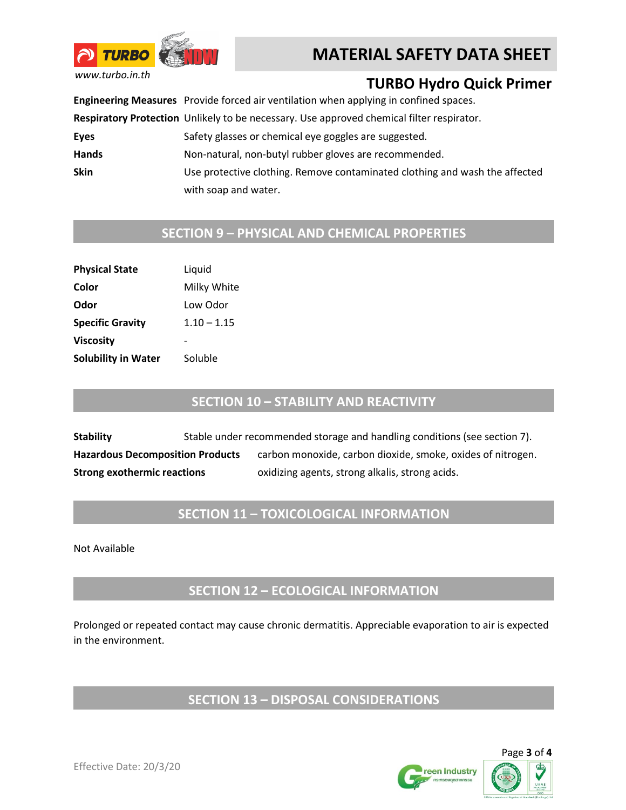

*www.turbo.in.th*

# **TURBO Hydro Quick Primer**

**Engineering Measures** Provide forced air ventilation when applying in confined spaces. **Respiratory Protection** Unlikely to be necessary. Use approved chemical filter respirator. Eyes Safety glasses or chemical eye goggles are suggested. Hands Non-natural, non-butyl rubber gloves are recommended. **Skin** Use protective clothing. Remove contaminated clothing and wash the affected with soap and water.

### **SECTION 9 – PHYSICAL AND CHEMICAL PROPERTIES**

| <b>Physical State</b>      | Liquid        |  |  |
|----------------------------|---------------|--|--|
| Color                      | Milky White   |  |  |
| Odor                       | Low Odor      |  |  |
| <b>Specific Gravity</b>    | $1.10 - 1.15$ |  |  |
| <b>Viscosity</b>           |               |  |  |
| <b>Solubility in Water</b> | Soluble       |  |  |

### **SECTION 10 – STABILITY AND REACTIVITY**

**Stability** Stable under recommended storage and handling conditions (see section 7). **Hazardous Decomposition Products** carbon monoxide, carbon dioxide, smoke, oxides of nitrogen. **Strong exothermic reactions constraints** oxidizing agents, strong alkalis, strong acids.

### **SECTION 11 – TOXICOLOGICAL INFORMATION**

Not Available

### **SECTION 12 – ECOLOGICAL INFORMATION**

Prolonged or repeated contact may cause chronic dermatitis. Appreciable evaporation to air is expected in the environment.

### **SECTION 13 – DISPOSAL CONSIDERATIONS**



Effective Date: 20/3/20